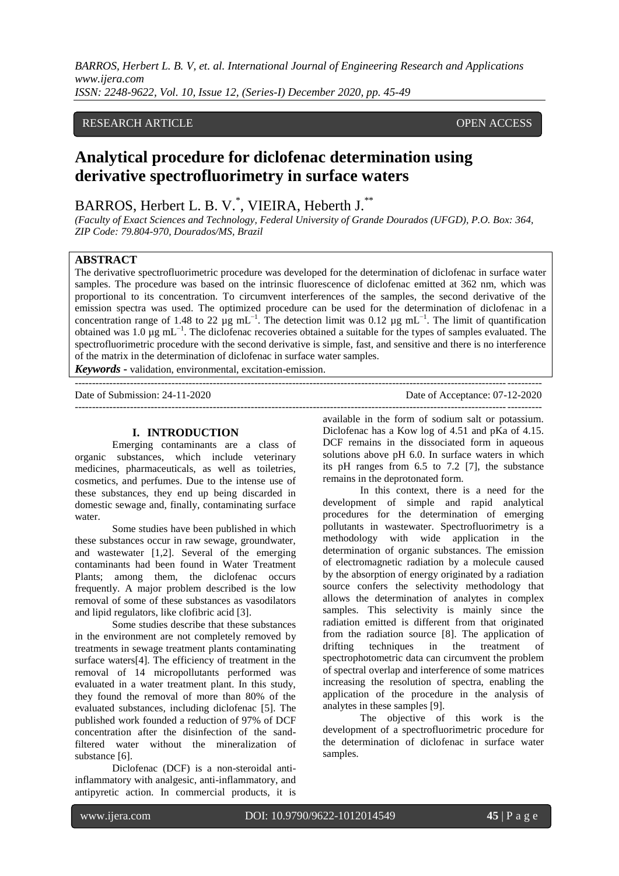*BARROS, Herbert L. B. V, et. al. International Journal of Engineering Research and Applications www.ijera.com ISSN: 2248-9622, Vol. 10, Issue 12, (Series-I) December 2020, pp. 45-49*

# RESEARCH ARTICLE **CONSERVERS** OPEN ACCESS

# **Analytical procedure for diclofenac determination using derivative spectrofluorimetry in surface waters**

# BARROS, Herbert L. B. V.\*, VIEIRA, Heberth J.\*\*

*(Faculty of Exact Sciences and Technology, Federal University of Grande Dourados (UFGD), P.O. Box: 364, ZIP Code: 79.804-970, Dourados/MS, Brazil*

## **ABSTRACT**

The derivative spectrofluorimetric procedure was developed for the determination of diclofenac in surface water samples. The procedure was based on the intrinsic fluorescence of diclofenac emitted at 362 nm, which was proportional to its concentration. To circumvent interferences of the samples, the second derivative of the emission spectra was used. The optimized procedure can be used for the determination of diclofenac in a concentration range of 1.48 to 22 µg mL<sup>-1</sup>. The detection limit was 0.12 µg mL<sup>-1</sup>. The limit of quantification obtained was 1.0  $\mu$ g mL<sup>-1</sup>. The diclofenac recoveries obtained a suitable for the types of samples evaluated. The spectrofluorimetric procedure with the second derivative is simple, fast, and sensitive and there is no interference of the matrix in the determination of diclofenac in surface water samples.

*Keywords* **-** validation, environmental, excitation-emission.

---------------------------------------------------------------------------------------------------------------------------------------

Date of Submission: 24-11-2020

---------------------------------------------------------------------------------------------------------------------------------------

#### **I. INTRODUCTION**

Emerging contaminants are a class of organic substances, which include veterinary medicines, pharmaceuticals, as well as toiletries, cosmetics, and perfumes. Due to the intense use of these substances, they end up being discarded in domestic sewage and, finally, contaminating surface water.

Some studies have been published in which these substances occur in raw sewage, groundwater, and wastewater [1,2]. Several of the emerging contaminants had been found in Water Treatment Plants; among them, the diclofenac occurs frequently. A major problem described is the low removal of some of these substances as vasodilators and lipid regulators, like clofibric acid [3].

Some studies describe that these substances in the environment are not completely removed by treatments in sewage treatment plants contaminating surface waters[4]. The efficiency of treatment in the removal of 14 micropollutants performed was evaluated in a water treatment plant. In this study, they found the removal of more than 80% of the evaluated substances, including diclofenac [5]. The published work founded a reduction of 97% of DCF concentration after the disinfection of the sandfiltered water without the mineralization of substance [6].

Diclofenac (DCF) is a non-steroidal antiinflammatory with analgesic, anti-inflammatory, and antipyretic action. In commercial products, it is

available in the form of sodium salt or potassium. Diclofenac has a Kow log of 4.51 and pKa of 4.15. DCF remains in the dissociated form in aqueous solutions above pH 6.0. In surface waters in which its pH ranges from 6.5 to 7.2 [7], the substance remains in the deprotonated form.

In this context, there is a need for the development of simple and rapid analytical procedures for the determination of emerging pollutants in wastewater. Spectrofluorimetry is a methodology with wide application in the determination of organic substances. The emission of electromagnetic radiation by a molecule caused by the absorption of energy originated by a radiation source confers the selectivity methodology that allows the determination of analytes in complex samples. This selectivity is mainly since the radiation emitted is different from that originated from the radiation source [8]. The application of drifting techniques in the treatment of spectrophotometric data can circumvent the problem of spectral overlap and interference of some matrices increasing the resolution of spectra, enabling the application of the procedure in the analysis of analytes in these samples [9].

The objective of this work is the development of a spectrofluorimetric procedure for the determination of diclofenac in surface water samples.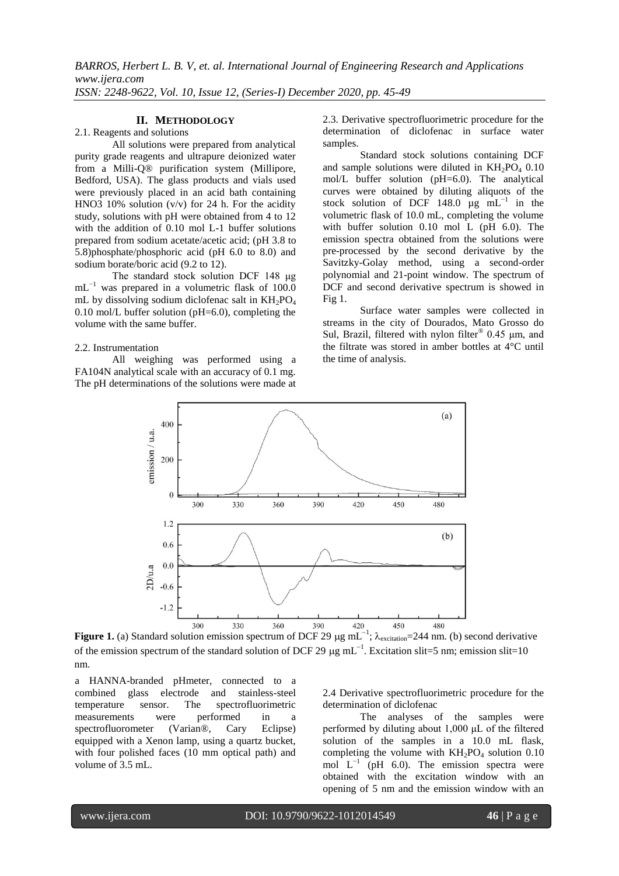# **II. METHODOLOGY**

#### 2.1. Reagents and solutions

All solutions were prepared from analytical purity grade reagents and ultrapure deionized water from a Milli-Q® purification system (Millipore, Bedford, USA). The glass products and vials used were previously placed in an acid bath containing HNO3 10% solution (v/v) for 24 h. For the acidity study, solutions with pH were obtained from 4 to 12 with the addition of 0.10 mol L-1 buffer solutions prepared from sodium acetate/acetic acid; (pH 3.8 to 5.8)phosphate/phosphoric acid (pH 6.0 to 8.0) and sodium borate/boric acid (9.2 to 12).

The standard stock solution DCF 148 μg mL<sup>-1</sup> was prepared in a volumetric flask of 100.0 mL by dissolving sodium diclofenac salt in  $KH_2PO_4$ 0.10 mol/L buffer solution ( $pH=6.0$ ), completing the volume with the same buffer.

#### 2.2. Instrumentation

All weighing was performed using a FA104N analytical scale with an accuracy of 0.1 mg. The pH determinations of the solutions were made at 2.3. Derivative spectrofluorimetric procedure for the determination of diclofenac in surface water samples.

Standard stock solutions containing DCF and sample solutions were diluted in  $KH_2PO_4$  0.10 mol/L buffer solution (pH=6.0). The analytical curves were obtained by diluting aliquots of the stock solution of DCF 148.0  $\mu$ g mL<sup>-1</sup> in the volumetric flask of 10.0 mL, completing the volume with buffer solution 0.10 mol L (pH 6.0). The emission spectra obtained from the solutions were pre-processed by the second derivative by the Savitzky-Golay method, using a second-order polynomial and 21-point window. The spectrum of DCF and second derivative spectrum is showed in Fig 1.

Surface water samples were collected in streams in the city of Dourados, Mato Grosso do Sul, Brazil, filtered with nylon filter<sup>®</sup> 0.45  $\mu$ m, and the filtrate was stored in amber bottles at 4°C until the time of analysis.



**Figure 1.** (a) Standard solution emission spectrum of DCF 29  $\mu$ g mL<sup>-1</sup>;  $\lambda_{\text{excitation}} = 244$  nm. (b) second derivative of the emission spectrum of the standard solution of DCF 29  $\mu$ g mL<sup>-1</sup>. Excitation slit=5 nm; emission slit=10 nm.

a HANNA-branded pHmeter, connected to a combined glass electrode and stainless-steel temperature sensor. The spectrofluorimetric<br>measurements were performed in a measurements were performed in a spectrofluorometer (Varian®, Cary Eclipse) equipped with a Xenon lamp, using a quartz bucket, with four polished faces (10 mm optical path) and volume of 3.5 mL.

2.4 Derivative spectrofluorimetric procedure for the determination of diclofenac

The analyses of the samples were performed by diluting about 1,000 μL of the filtered solution of the samples in a 10.0 mL flask, completing the volume with  $KH_2PO_4$  solution 0.10 mol  $L^{-1}$  (pH 6.0). The emission spectra were obtained with the excitation window with an opening of 5 nm and the emission window with an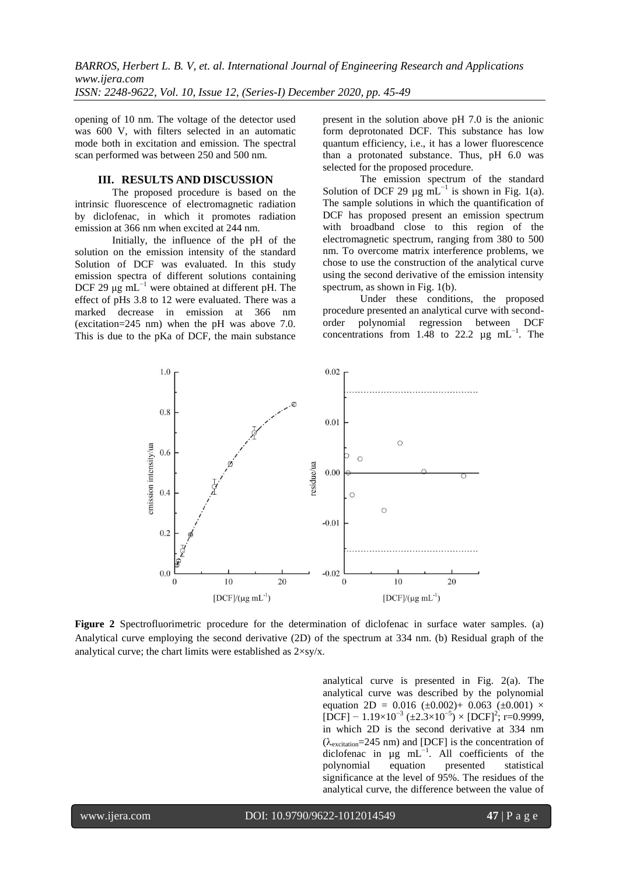opening of 10 nm. The voltage of the detector used was 600 V, with filters selected in an automatic mode both in excitation and emission. The spectral scan performed was between 250 and 500 nm.

#### **III. RESULTS AND DISCUSSION**

The proposed procedure is based on the intrinsic fluorescence of electromagnetic radiation by diclofenac, in which it promotes radiation emission at 366 nm when excited at 244 nm.

Initially, the influence of the pH of the solution on the emission intensity of the standard Solution of DCF was evaluated. In this study emission spectra of different solutions containing DCF 29 μg mL<sup>-1</sup> were obtained at different pH. The effect of pHs 3.8 to 12 were evaluated. There was a marked decrease in emission at 366 nm (excitation=245 nm) when the pH was above 7.0. This is due to the pKa of DCF, the main substance present in the solution above pH 7.0 is the anionic form deprotonated DCF. This substance has low quantum efficiency, i.e., it has a lower fluorescence than a protonated substance. Thus, pH 6.0 was selected for the proposed procedure.

The emission spectrum of the standard Solution of DCF 29  $\mu$ g mL<sup>-1</sup> is shown in Fig. 1(a). The sample solutions in which the quantification of DCF has proposed present an emission spectrum with broadband close to this region of the electromagnetic spectrum, ranging from 380 to 500 nm. To overcome matrix interference problems, we chose to use the construction of the analytical curve using the second derivative of the emission intensity spectrum, as shown in Fig. 1(b).

Under these conditions, the proposed procedure presented an analytical curve with secondorder polynomial regression between DCF concentrations from 1.48 to 22.2  $\mu$ g mL<sup>-1</sup>. The



**Figure 2** Spectrofluorimetric procedure for the determination of diclofenac in surface water samples. (a) Analytical curve employing the second derivative (2D) of the spectrum at 334 nm. (b) Residual graph of the analytical curve; the chart limits were established as  $2 \times \frac{s}{x}$ .

analytical curve is presented in Fig. 2(a). The analytical curve was described by the polynomial equation 2D = 0.016 ( $\pm$ 0.002)+ 0.063 ( $\pm$ 0.001)  $\times$  $[DCF] - 1.19 \times 10^{-3} (\pm 2.3 \times 10^{-5}) \times [DCF]^2$ ; r=0.9999, in which 2D is the second derivative at 334 nm  $(\lambda_{excitation} = 245 \text{ nm})$  and [DCF] is the concentration of diclofenac in  $\mu$ g mL<sup>-1</sup>. All coefficients of the polynomial equation presented statistical significance at the level of 95%. The residues of the analytical curve, the difference between the value of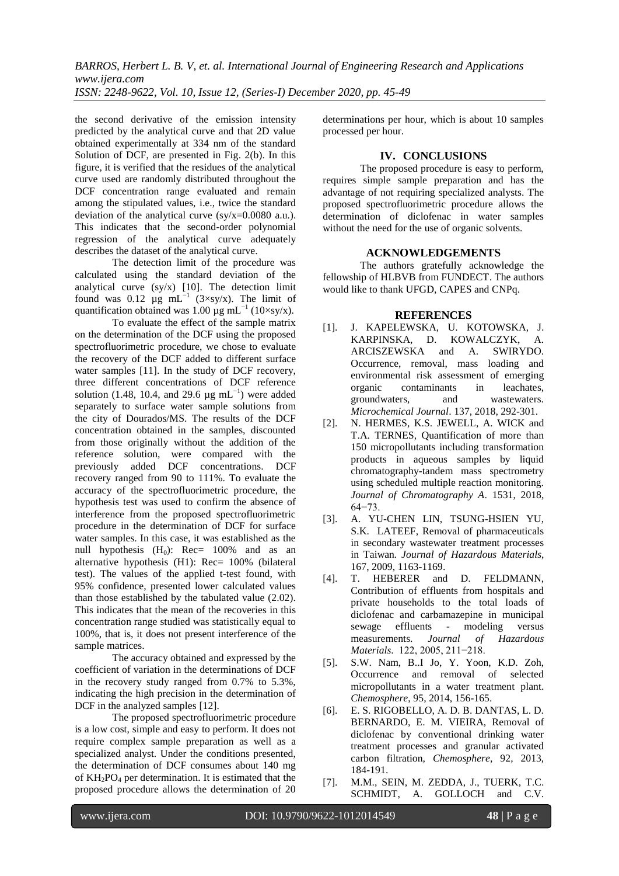*BARROS, Herbert L. B. V, et. al. International Journal of Engineering Research and Applications www.ijera.com ISSN: 2248-9622, Vol. 10, Issue 12, (Series-I) December 2020, pp. 45-49*

the second derivative of the emission intensity predicted by the analytical curve and that 2D value obtained experimentally at 334 nm of the standard Solution of DCF, are presented in Fig. 2(b). In this figure, it is verified that the residues of the analytical curve used are randomly distributed throughout the DCF concentration range evaluated and remain among the stipulated values, i.e., twice the standard deviation of the analytical curve  $(sy/x=0.0080 a.u.).$ This indicates that the second-order polynomial regression of the analytical curve adequately describes the dataset of the analytical curve.

The detection limit of the procedure was calculated using the standard deviation of the analytical curve (sy/x) [10]. The detection limit found was 0.12  $\mu$ g mL<sup>-1</sup> (3×sy/x). The limit of quantification obtained was 1.00  $\mu$ g mL<sup>-1</sup> (10×sy/x).

To evaluate the effect of the sample matrix on the determination of the DCF using the proposed spectrofluorimetric procedure, we chose to evaluate the recovery of the DCF added to different surface water samples [11]. In the study of DCF recovery, three different concentrations of DCF reference solution (1.48, 10.4, and 29.6  $\mu$ g mL<sup>-1</sup>) were added separately to surface water sample solutions from the city of Dourados/MS. The results of the DCF concentration obtained in the samples, discounted from those originally without the addition of the reference solution, were compared with the previously added DCF concentrations. DCF recovery ranged from 90 to 111%. To evaluate the accuracy of the spectrofluorimetric procedure, the hypothesis test was used to confirm the absence of interference from the proposed spectrofluorimetric procedure in the determination of DCF for surface water samples. In this case, it was established as the null hypothesis  $(H_0)$ : Rec= 100% and as an alternative hypothesis (H1): Rec= 100% (bilateral test). The values of the applied t-test found, with 95% confidence, presented lower calculated values than those established by the tabulated value (2.02). This indicates that the mean of the recoveries in this concentration range studied was statistically equal to 100%, that is, it does not present interference of the sample matrices.

The accuracy obtained and expressed by the coefficient of variation in the determinations of DCF in the recovery study ranged from 0.7% to 5.3%, indicating the high precision in the determination of DCF in the analyzed samples [12].

The proposed spectrofluorimetric procedure is a low cost, simple and easy to perform. It does not require complex sample preparation as well as a specialized analyst. Under the conditions presented, the determination of DCF consumes about 140 mg of  $KH_2PO_4$  per determination. It is estimated that the proposed procedure allows the determination of 20

determinations per hour, which is about 10 samples processed per hour.

### **IV. CONCLUSIONS**

The proposed procedure is easy to perform, requires simple sample preparation and has the advantage of not requiring specialized analysts. The proposed spectrofluorimetric procedure allows the determination of diclofenac in water samples without the need for the use of organic solvents.

#### **ACKNOWLEDGEMENTS**

The authors gratefully acknowledge the fellowship of HLBVB from FUNDECT. The authors would like to thank UFGD, CAPES and CNPq.

#### **REFERENCES**

- [1]. J. KAPELEWSKA, U. KOTOWSKA, J. KARPINSKA, D. KOWALCZYK, A. ARCISZEWSKA and A. SWIRYDO. Occurrence, removal, mass loading and environmental risk assessment of emerging organic contaminants in leachates, groundwaters, and wastewaters. *Microchemical Journal*. 137, 2018, 292-301.
- [2]. N. HERMES, K.S. JEWELL, A. WICK and T.A. TERNES, Quantification of more than 150 micropollutants including transformation products in aqueous samples by liquid chromatography-tandem mass spectrometry using scheduled multiple reaction monitoring. *Journal of Chromatography A*. 1531, 2018, 64−73.
- [3]. A. YU-CHEN LIN, TSUNG-HSIEN YU, S.K. LATEEF, Removal of pharmaceuticals in secondary wastewater treatment processes in Taiwan*. Journal of Hazardous Materials*, 167, 2009, 1163-1169.
- [4]. T. HEBERER and D. FELDMANN, Contribution of effluents from hospitals and private households to the total loads of diclofenac and carbamazepine in municipal sewage effluents - modeling versus measurements. *Journal of Hazardous Materials*. 122, 2005, 211−218.
- [5]. S.W. Nam, B..I Jo, Y. Yoon, K.D. Zoh, Occurrence and removal of selected micropollutants in a water treatment plant. *Chemosphere*, 95, 2014, 156-165.
- [6]. E. S. RIGOBELLO, A. D. B. DANTAS, L. D. BERNARDO, E. M. VIEIRA, Removal of diclofenac by conventional drinking water treatment processes and granular activated carbon filtration, *Chemosphere*, 92, 2013, 184-191.
- [7]. M.M., SEIN, M. ZEDDA, J., TUERK, T.C. SCHMIDT, A. GOLLOCH and C.V.